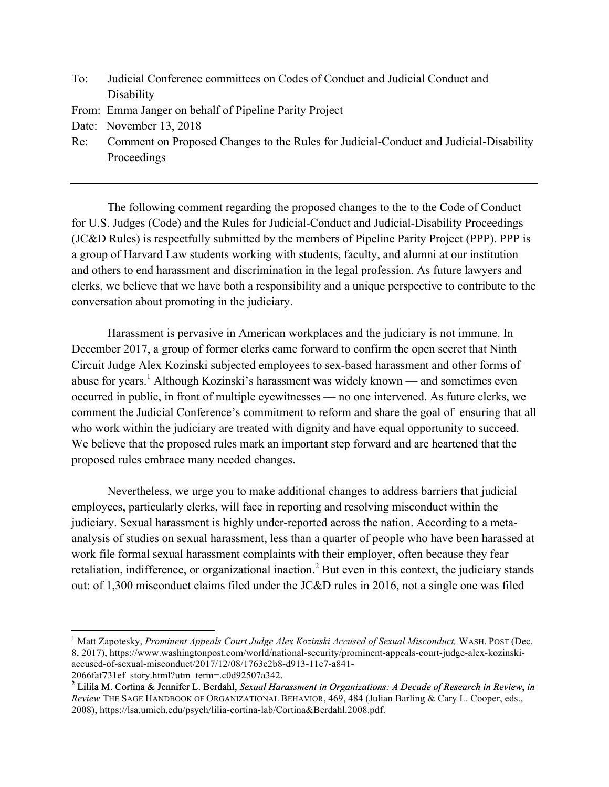- To: Judicial Conference committees on Codes of Conduct and Judicial Conduct and **Disability**
- From: Emma Janger on behalf of Pipeline Parity Project
- Date: November 13, 2018
- Re: Comment on Proposed Changes to the Rules for Judicial-Conduct and Judicial-Disability Proceedings

The following comment regarding the proposed changes to the to the Code of Conduct for U.S. Judges (Code) and the Rules for Judicial-Conduct and Judicial-Disability Proceedings (JC&D Rules) is respectfully submitted by the members of Pipeline Parity Project (PPP). PPP is a group of Harvard Law students working with students, faculty, and alumni at our institution and others to end harassment and discrimination in the legal profession. As future lawyers and clerks, we believe that we have both a responsibility and a unique perspective to contribute to the conversation about promoting in the judiciary.

Harassment is pervasive in American workplaces and the judiciary is not immune. In December 2017, a group of former clerks came forward to confirm the open secret that Ninth Circuit Judge Alex Kozinski subjected employees to sex-based harassment and other forms of abuse for years.<sup>1</sup> Although Kozinski's harassment was widely known — and sometimes even occurred in public, in front of multiple eyewitnesses — no one intervened. As future clerks, we comment the Judicial Conference's commitment to reform and share the goal of ensuring that all who work within the judiciary are treated with dignity and have equal opportunity to succeed. We believe that the proposed rules mark an important step forward and are heartened that the proposed rules embrace many needed changes.

Nevertheless, we urge you to make additional changes to address barriers that judicial employees, particularly clerks, will face in reporting and resolving misconduct within the judiciary. Sexual harassment is highly under-reported across the nation. According to a metaanalysis of studies on sexual harassment, less than a quarter of people who have been harassed at work file formal sexual harassment complaints with their employer, often because they fear retaliation, indifference, or organizational inaction.<sup>2</sup> But even in this context, the judiciary stands out: of 1,300 misconduct claims filed under the JC&D rules in 2016, not a single one was filed

<sup>&</sup>lt;sup>1</sup> Matt Zapotesky, *Prominent Appeals Court Judge Alex Kozinski Accused of Sexual Misconduct*, WASH. POST (Dec. 8, 2017), https://www.washingtonpost.com/world/national-security/prominent-appeals-court-judge-alex-kozinskiaccused-of-sexual-misconduct/2017/12/08/1763e2b8-d913-11e7-a841-

<sup>2066</sup>faf731ef\_story.html?utm\_term=.c0d92507a342. 2 Lilila M. Cortina & Jennifer L. Berdahl, *Sexual Harassment in Organizations: A Decade of Research in Review*, *in Review* THE SAGE HANDBOOK OF ORGANIZATIONAL BEHAVIOR, 469, 484 (Julian Barling & Cary L. Cooper, eds., 2008), https://lsa.umich.edu/psych/lilia-cortina-lab/Cortina&Berdahl.2008.pdf.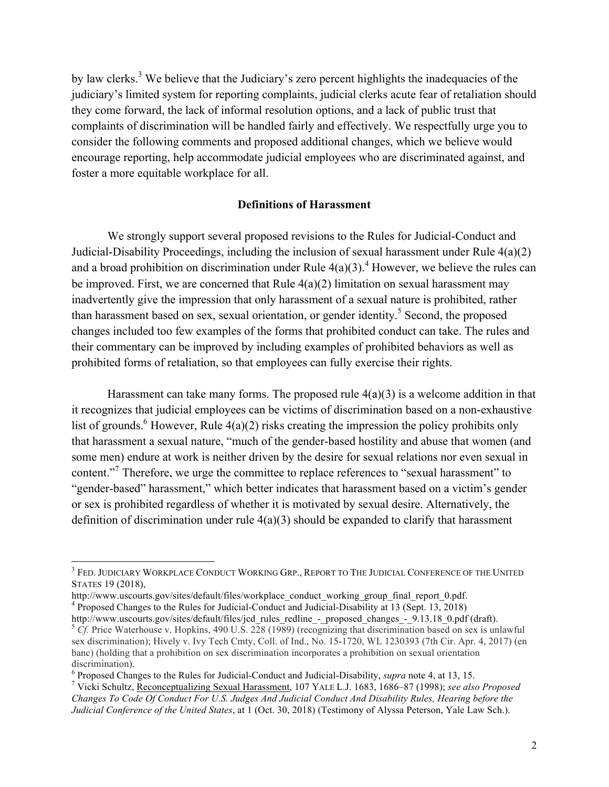by law clerks.3 We believe that the Judiciary's zero percent highlights the inadequacies of the judiciary's limited system for reporting complaints, judicial clerks acute fear of retaliation should they come forward, the lack of informal resolution options, and a lack of public trust that complaints of discrimination will be handled fairly and effectively. We respectfully urge you to consider the following comments and proposed additional changes, which we believe would encourage reporting, help accommodate judicial employees who are discriminated against, and foster a more equitable workplace for all.

#### **Definitions of Harassment**

We strongly support several proposed revisions to the Rules for Judicial-Conduct and Judicial-Disability Proceedings, including the inclusion of sexual harassment under Rule 4(a)(2) and a broad prohibition on discrimination under Rule  $4(a)(3)$ .<sup>4</sup> However, we believe the rules can be improved. First, we are concerned that Rule  $4(a)(2)$  limitation on sexual harassment may inadvertently give the impression that only harassment of a sexual nature is prohibited, rather than harassment based on sex, sexual orientation, or gender identity.<sup>5</sup> Second, the proposed changes included too few examples of the forms that prohibited conduct can take. The rules and their commentary can be improved by including examples of prohibited behaviors as well as prohibited forms of retaliation, so that employees can fully exercise their rights.

Harassment can take many forms. The proposed rule  $4(a)(3)$  is a welcome addition in that it recognizes that judicial employees can be victims of discrimination based on a non-exhaustive list of grounds.<sup>6</sup> However, Rule  $4(a)(2)$  risks creating the impression the policy prohibits only that harassment a sexual nature, "much of the gender-based hostility and abuse that women (and some men) endure at work is neither driven by the desire for sexual relations nor even sexual in content."<sup>7</sup> Therefore, we urge the committee to replace references to "sexual harassment" to "gender-based" harassment," which better indicates that harassment based on a victim's gender or sex is prohibited regardless of whether it is motivated by sexual desire. Alternatively, the definition of discrimination under rule  $4(a)(3)$  should be expanded to clarify that harassment

<sup>&</sup>lt;sup>3</sup> FED. JUDICIARY WORKPLACE CONDUCT WORKING GRP., REPORT TO THE JUDICIAL CONFERENCE OF THE UNITED STATES 19 (2018),

http://www.uscourts.gov/sites/default/files/workplace\_conduct\_working\_group\_final\_report\_0.pdf.<br><sup>4</sup> Proposed Changes to the Rules for Judicial-Conduct and Judicial-Disability at 13 (Sept. 13, 2018)<br>http://www.uscourts.gov/

<sup>&</sup>lt;sup>5</sup> Cf. Price Waterhouse v. Hopkins, 490 U.S. 228 (1989) (recognizing that discrimination based on sex is unlawful sex discrimination); Hively v. Ivy Tech Cmty, Coll. of Ind., No. 15-1720, WL 1230393 (7th Cir. Apr. 4, 2017) (en banc) (holding that a prohibition on sex discrimination incorporates a prohibition on sexual orientation discrimination).

<sup>&</sup>lt;sup>6</sup> Proposed Changes to the Rules for Judicial-Conduct and Judicial-Disability, *supra* note 4, at 13, 15.<br><sup>7</sup> Vicki Schultz, Reconceptualizing Sexual <u>Harassment</u>, 107 YALE L.J. 1683, 1686–87 (1998); *see also Proposed Changes To Code Of Conduct For U.S. Judges And Judicial Conduct And Disability Rules, Hearing before the Judicial Conference of the United States*, at 1 (Oct. 30, 2018) (Testimony of Alyssa Peterson, Yale Law Sch.).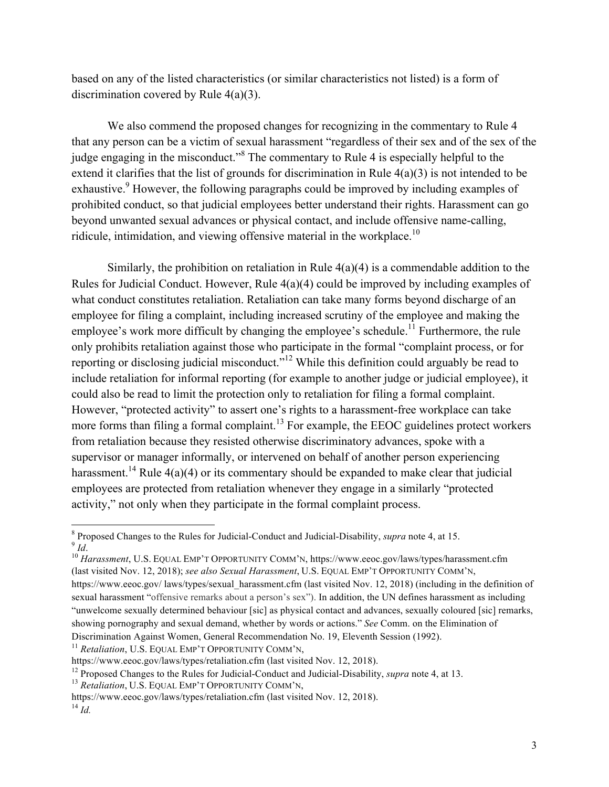based on any of the listed characteristics (or similar characteristics not listed) is a form of discrimination covered by Rule 4(a)(3).

We also commend the proposed changes for recognizing in the commentary to Rule 4 that any person can be a victim of sexual harassment "regardless of their sex and of the sex of the judge engaging in the misconduct."<sup>8</sup> The commentary to Rule 4 is especially helpful to the extend it clarifies that the list of grounds for discrimination in Rule 4(a)(3) is not intended to be exhaustive.<sup>9</sup> However, the following paragraphs could be improved by including examples of prohibited conduct, so that judicial employees better understand their rights. Harassment can go beyond unwanted sexual advances or physical contact, and include offensive name-calling, ridicule, intimidation, and viewing offensive material in the workplace.<sup>10</sup>

Similarly, the prohibition on retaliation in Rule  $4(a)(4)$  is a commendable addition to the Rules for Judicial Conduct. However, Rule 4(a)(4) could be improved by including examples of what conduct constitutes retaliation. Retaliation can take many forms beyond discharge of an employee for filing a complaint, including increased scrutiny of the employee and making the employee's work more difficult by changing the employee's schedule.<sup>11</sup> Furthermore, the rule only prohibits retaliation against those who participate in the formal "complaint process, or for reporting or disclosing judicial misconduct."<sup>12</sup> While this definition could arguably be read to include retaliation for informal reporting (for example to another judge or judicial employee), it could also be read to limit the protection only to retaliation for filing a formal complaint. However, "protected activity" to assert one's rights to a harassment-free workplace can take more forms than filing a formal complaint.<sup>13</sup> For example, the EEOC guidelines protect workers from retaliation because they resisted otherwise discriminatory advances, spoke with a supervisor or manager informally, or intervened on behalf of another person experiencing harassment.<sup>14</sup> Rule  $4(a)(4)$  or its commentary should be expanded to make clear that judicial employees are protected from retaliation whenever they engage in a similarly "protected activity," not only when they participate in the formal complaint process.

<sup>11</sup> Retaliation, U.S. EQUAL EMP'T OPPORTUNITY COMM'N,

<sup>&</sup>lt;sup>8</sup> Proposed Changes to the Rules for Judicial-Conduct and Judicial-Disability, *supra* note 4, at 15.<br><sup>9</sup> *Id. Id*. *Harassment*, U.S. EQUAL EMP'T OPPORTUNITY COMM'N, https://www.eeoc.gov/laws/types/harassment.cfm

<sup>(</sup>last visited Nov. 12, 2018); *see also Sexual Harassment*, U.S. EQUAL EMP'T OPPORTUNITY COMM'N, https://www.eeoc.gov/ laws/types/sexual\_harassment.cfm (last visited Nov. 12, 2018) (including in the definition of sexual harassment "offensive remarks about a person's sex"). In addition, the UN defines harassment as including "unwelcome sexually determined behaviour [sic] as physical contact and advances, sexually coloured [sic] remarks, showing pornography and sexual demand, whether by words or actions." *See* Comm. on the Elimination of Discrimination Against Women, General Recommendation No. 19, Eleventh Session (1992).

https://www.eeoc.gov/laws/types/retaliation.cfm (last visited Nov. 12, 2018).

<sup>&</sup>lt;sup>12</sup> Proposed Changes to the Rules for Judicial-Conduct and Judicial-Disability, *supra* note 4, at 13.<br><sup>13</sup> *Retaliation*, U.S. EQUAL EMP'T OPPORTUNITY COMM'N.

https://www.eeoc.gov/laws/types/retaliation.cfm (last visited Nov. 12, 2018).

 $^{14}$  *Id.*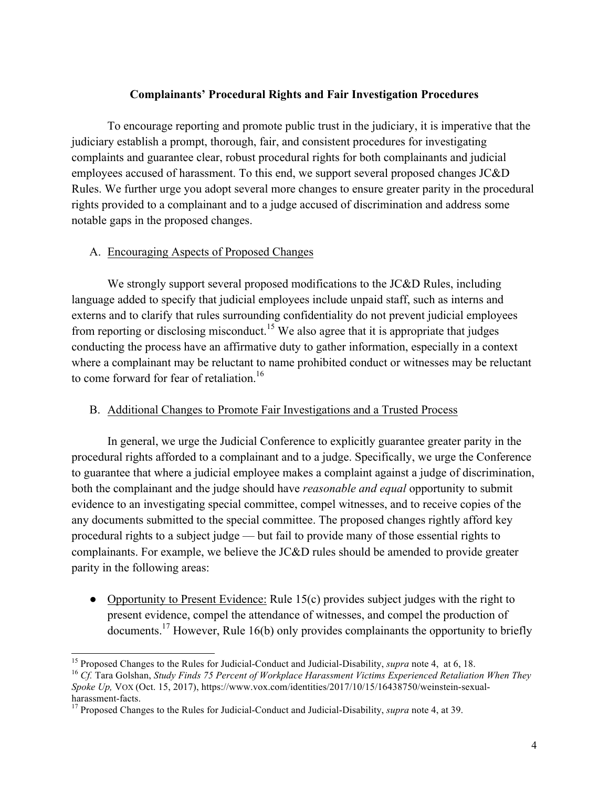### **Complainants' Procedural Rights and Fair Investigation Procedures**

To encourage reporting and promote public trust in the judiciary, it is imperative that the judiciary establish a prompt, thorough, fair, and consistent procedures for investigating complaints and guarantee clear, robust procedural rights for both complainants and judicial employees accused of harassment. To this end, we support several proposed changes JC&D Rules. We further urge you adopt several more changes to ensure greater parity in the procedural rights provided to a complainant and to a judge accused of discrimination and address some notable gaps in the proposed changes.

### A. Encouraging Aspects of Proposed Changes

We strongly support several proposed modifications to the JC&D Rules, including language added to specify that judicial employees include unpaid staff, such as interns and externs and to clarify that rules surrounding confidentiality do not prevent judicial employees from reporting or disclosing misconduct.<sup>15</sup> We also agree that it is appropriate that judges conducting the process have an affirmative duty to gather information, especially in a context where a complainant may be reluctant to name prohibited conduct or witnesses may be reluctant to come forward for fear of retaliation.<sup>16</sup>

## B. Additional Changes to Promote Fair Investigations and a Trusted Process

In general, we urge the Judicial Conference to explicitly guarantee greater parity in the procedural rights afforded to a complainant and to a judge. Specifically, we urge the Conference to guarantee that where a judicial employee makes a complaint against a judge of discrimination, both the complainant and the judge should have *reasonable and equal* opportunity to submit evidence to an investigating special committee, compel witnesses, and to receive copies of the any documents submitted to the special committee. The proposed changes rightly afford key procedural rights to a subject judge — but fail to provide many of those essential rights to complainants. For example, we believe the JC&D rules should be amended to provide greater parity in the following areas:

• Opportunity to Present Evidence: Rule 15(c) provides subject judges with the right to present evidence, compel the attendance of witnesses, and compel the production of documents.17 However, Rule 16(b) only provides complainants the opportunity to briefly

*Spoke Up,* VOX (Oct. 15, 2017), https://www.vox.com/identities/2017/10/15/16438750/weinstein-sexual-

<sup>&</sup>lt;sup>15</sup> Proposed Changes to the Rules for Judicial-Conduct and Judicial-Disability, *supra* note 4, at 6, 18.<br><sup>16</sup> Cf. Tara Golshan, *Study Finds 75 Percent of Workplace Harassment Victims Experienced Retaliation When They* 

harassment-facts.<br><sup>17</sup> Proposed Changes to the Rules for Judicial-Conduct and Judicial-Disability, *supra* note 4, at 39.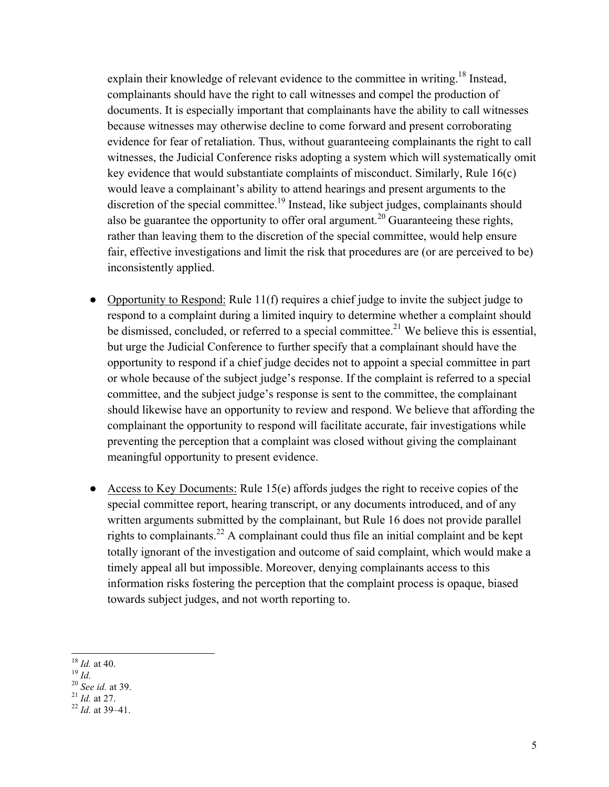explain their knowledge of relevant evidence to the committee in writing.<sup>18</sup> Instead, complainants should have the right to call witnesses and compel the production of documents. It is especially important that complainants have the ability to call witnesses because witnesses may otherwise decline to come forward and present corroborating evidence for fear of retaliation. Thus, without guaranteeing complainants the right to call witnesses, the Judicial Conference risks adopting a system which will systematically omit key evidence that would substantiate complaints of misconduct. Similarly, Rule 16(c) would leave a complainant's ability to attend hearings and present arguments to the discretion of the special committee.<sup>19</sup> Instead, like subject judges, complainants should also be guarantee the opportunity to offer oral argument.<sup>20</sup> Guaranteeing these rights, rather than leaving them to the discretion of the special committee, would help ensure fair, effective investigations and limit the risk that procedures are (or are perceived to be) inconsistently applied.

- Opportunity to Respond: Rule 11(f) requires a chief judge to invite the subject judge to respond to a complaint during a limited inquiry to determine whether a complaint should be dismissed, concluded, or referred to a special committee.<sup>21</sup> We believe this is essential, but urge the Judicial Conference to further specify that a complainant should have the opportunity to respond if a chief judge decides not to appoint a special committee in part or whole because of the subject judge's response. If the complaint is referred to a special committee, and the subject judge's response is sent to the committee, the complainant should likewise have an opportunity to review and respond. We believe that affording the complainant the opportunity to respond will facilitate accurate, fair investigations while preventing the perception that a complaint was closed without giving the complainant meaningful opportunity to present evidence.
- Access to Key Documents: Rule  $15(e)$  affords judges the right to receive copies of the special committee report, hearing transcript, or any documents introduced, and of any written arguments submitted by the complainant, but Rule 16 does not provide parallel rights to complainants.<sup>22</sup> A complainant could thus file an initial complaint and be kept totally ignorant of the investigation and outcome of said complaint, which would make a timely appeal all but impossible. Moreover, denying complainants access to this information risks fostering the perception that the complaint process is opaque, biased towards subject judges, and not worth reporting to.

18 *Id.* at 40. 19 *Id.* 20 *See id.* at 39. 21 *Id.* at 27. 22 *Id.* at 39–41.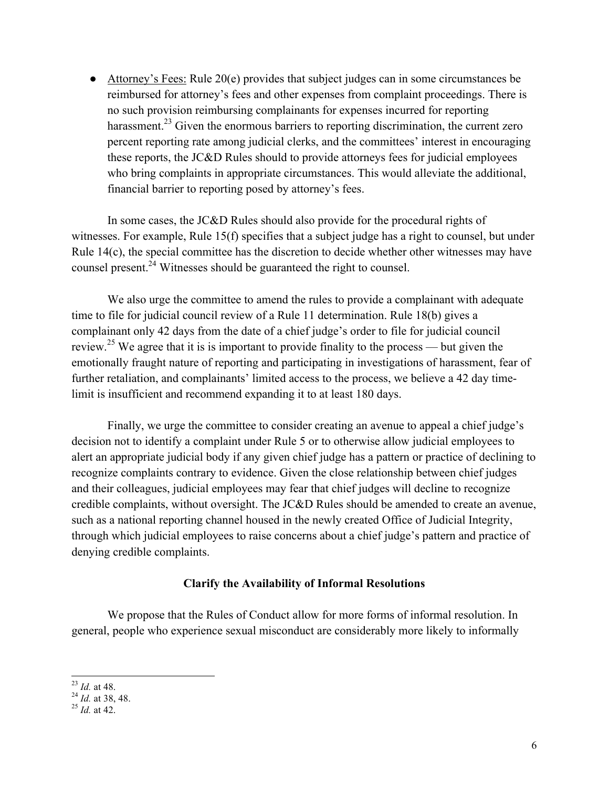● Attorney's Fees: Rule 20(e) provides that subject judges can in some circumstances be reimbursed for attorney's fees and other expenses from complaint proceedings. There is no such provision reimbursing complainants for expenses incurred for reporting harassment.<sup>23</sup> Given the enormous barriers to reporting discrimination, the current zero percent reporting rate among judicial clerks, and the committees' interest in encouraging these reports, the JC&D Rules should to provide attorneys fees for judicial employees who bring complaints in appropriate circumstances. This would alleviate the additional, financial barrier to reporting posed by attorney's fees.

In some cases, the JC&D Rules should also provide for the procedural rights of witnesses. For example, Rule 15(f) specifies that a subject judge has a right to counsel, but under Rule 14(c), the special committee has the discretion to decide whether other witnesses may have counsel present.<sup>24</sup> Witnesses should be guaranteed the right to counsel.

We also urge the committee to amend the rules to provide a complainant with adequate time to file for judicial council review of a Rule 11 determination. Rule 18(b) gives a complainant only 42 days from the date of a chief judge's order to file for judicial council review.<sup>25</sup> We agree that it is is important to provide finality to the process — but given the emotionally fraught nature of reporting and participating in investigations of harassment, fear of further retaliation, and complainants' limited access to the process, we believe a 42 day timelimit is insufficient and recommend expanding it to at least 180 days.

Finally, we urge the committee to consider creating an avenue to appeal a chief judge's decision not to identify a complaint under Rule 5 or to otherwise allow judicial employees to alert an appropriate judicial body if any given chief judge has a pattern or practice of declining to recognize complaints contrary to evidence. Given the close relationship between chief judges and their colleagues, judicial employees may fear that chief judges will decline to recognize credible complaints, without oversight. The JC&D Rules should be amended to create an avenue, such as a national reporting channel housed in the newly created Office of Judicial Integrity, through which judicial employees to raise concerns about a chief judge's pattern and practice of denying credible complaints.

#### **Clarify the Availability of Informal Resolutions**

We propose that the Rules of Conduct allow for more forms of informal resolution. In general, people who experience sexual misconduct are considerably more likely to informally

<sup>23</sup> *Id.* at 48. <sup>24</sup> *Id.* at 38, 48. <sup>25</sup> *Id.* at 42.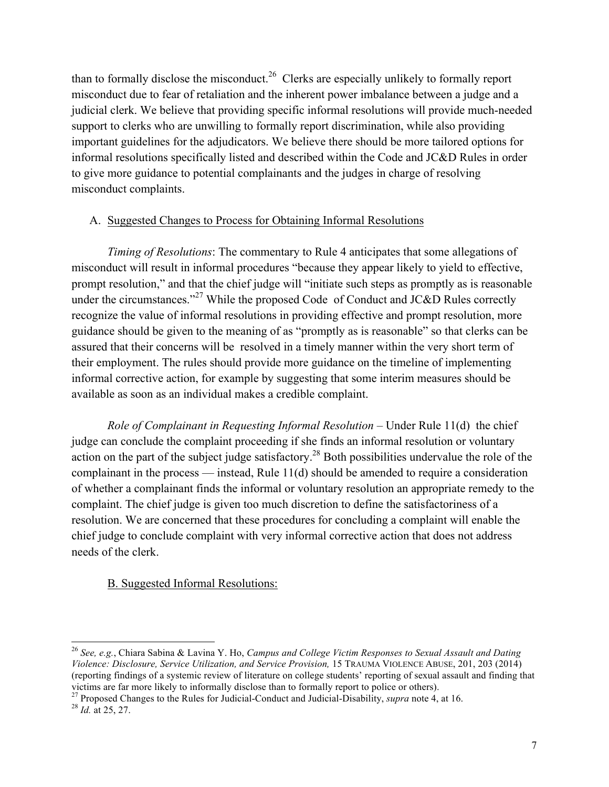than to formally disclose the misconduct.<sup>26</sup> Clerks are especially unlikely to formally report misconduct due to fear of retaliation and the inherent power imbalance between a judge and a judicial clerk. We believe that providing specific informal resolutions will provide much-needed support to clerks who are unwilling to formally report discrimination, while also providing important guidelines for the adjudicators. We believe there should be more tailored options for informal resolutions specifically listed and described within the Code and JC&D Rules in order to give more guidance to potential complainants and the judges in charge of resolving misconduct complaints.

## A. Suggested Changes to Process for Obtaining Informal Resolutions

*Timing of Resolutions*: The commentary to Rule 4 anticipates that some allegations of misconduct will result in informal procedures "because they appear likely to yield to effective, prompt resolution," and that the chief judge will "initiate such steps as promptly as is reasonable under the circumstances."<sup>27</sup> While the proposed Code of Conduct and JC&D Rules correctly recognize the value of informal resolutions in providing effective and prompt resolution, more guidance should be given to the meaning of as "promptly as is reasonable" so that clerks can be assured that their concerns will be resolved in a timely manner within the very short term of their employment. The rules should provide more guidance on the timeline of implementing informal corrective action, for example by suggesting that some interim measures should be available as soon as an individual makes a credible complaint.

*Role of Complainant in Requesting Informal Resolution* – Under Rule 11(d) the chief judge can conclude the complaint proceeding if she finds an informal resolution or voluntary action on the part of the subject judge satisfactory.<sup>28</sup> Both possibilities undervalue the role of the complainant in the process — instead, Rule 11(d) should be amended to require a consideration of whether a complainant finds the informal or voluntary resolution an appropriate remedy to the complaint. The chief judge is given too much discretion to define the satisfactoriness of a resolution. We are concerned that these procedures for concluding a complaint will enable the chief judge to conclude complaint with very informal corrective action that does not address needs of the clerk.

## B. Suggested Informal Resolutions:

<sup>26</sup> *See, e.g.*, Chiara Sabina & Lavina Y. Ho, *Campus and College Victim Responses to Sexual Assault and Dating Violence: Disclosure, Service Utilization, and Service Provision,* 15 TRAUMA VIOLENCE ABUSE, 201, 203 (2014) (reporting findings of a systemic review of literature on college students' reporting of sexual assault and finding that victims are far more likely to informally disclose than to formally report to police or others).

<sup>27</sup> Proposed Changes to the Rules for Judicial-Conduct and Judicial-Disability, *supra* note 4, at 16. <sup>28</sup> *Id.* at 25, 27.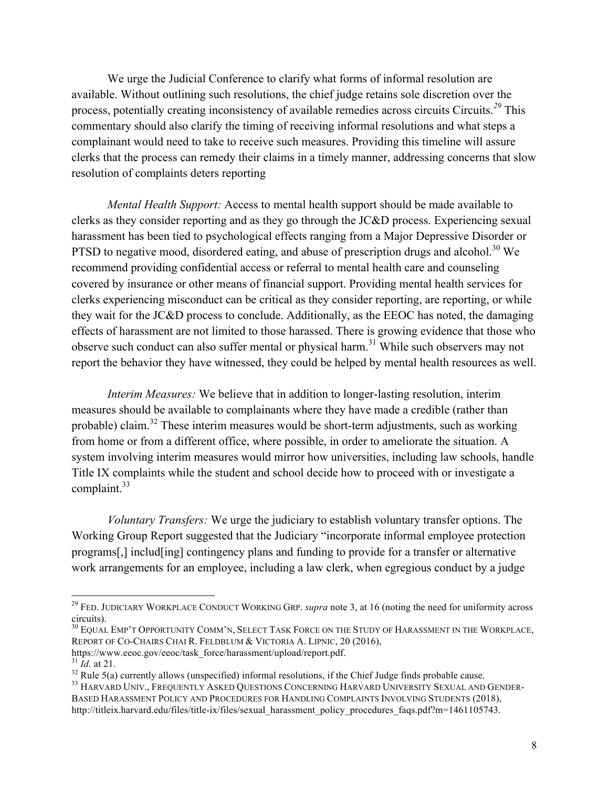We urge the Judicial Conference to clarify what forms of informal resolution are available. Without outlining such resolutions, the chief judge retains sole discretion over the process, potentially creating inconsistency of available remedies across circuits Circuits.*<sup>29</sup>* This commentary should also clarify the timing of receiving informal resolutions and what steps a complainant would need to take to receive such measures. Providing this timeline will assure clerks that the process can remedy their claims in a timely manner, addressing concerns that slow resolution of complaints deters reporting

*Mental Health Support:* Access to mental health support should be made available to clerks as they consider reporting and as they go through the JC&D process. Experiencing sexual harassment has been tied to psychological effects ranging from a Major Depressive Disorder or PTSD to negative mood, disordered eating, and abuse of prescription drugs and alcohol.<sup>30</sup> We recommend providing confidential access or referral to mental health care and counseling covered by insurance or other means of financial support. Providing mental health services for clerks experiencing misconduct can be critical as they consider reporting, are reporting, or while they wait for the JC&D process to conclude. Additionally, as the EEOC has noted, the damaging effects of harassment are not limited to those harassed. There is growing evidence that those who observe such conduct can also suffer mental or physical harm.<sup>31</sup> While such observers may not report the behavior they have witnessed, they could be helped by mental health resources as well.

*Interim Measures:* We believe that in addition to longer-lasting resolution, interim measures should be available to complainants where they have made a credible (rather than probable) claim.<sup>32</sup> These interim measures would be short-term adjustments, such as working from home or from a different office, where possible, in order to ameliorate the situation. A system involving interim measures would mirror how universities, including law schools, handle Title IX complaints while the student and school decide how to proceed with or investigate a complaint. $33$ 

*Voluntary Transfers:* We urge the judiciary to establish voluntary transfer options. The Working Group Report suggested that the Judiciary "incorporate informal employee protection programs[,] includ[ing] contingency plans and funding to provide for a transfer or alternative work arrangements for an employee, including a law clerk, when egregious conduct by a judge

<sup>29</sup> FED. JUDICIARY WORKPLACE CONDUCT WORKING GRP. *supra* note 3, at 16 (noting the need for uniformity across circuits).

<sup>&</sup>lt;sup>30</sup> EQUAL EMP'T OPPORTUNITY COMM'N, SELECT TASK FORCE ON THE STUDY OF HARASSMENT IN THE WORKPLACE, REPORT OF CO-CHAIRS CHAI R. FELDBLUM & VICTORIA A. LIPNIC, 20 (2016),

https://www.eeoc.gov/eeoc/task\_force/harassment/upload/report.pdf.  $^{31}$  *Id* at 21.

<sup>&</sup>lt;sup>32</sup> Rule 5(a) currently allows (unspecified) informal resolutions, if the Chief Judge finds probable cause.<br><sup>33</sup> HARVARD UNIV., FREQUENTLY ASKED QUESTIONS CONCERNING HARVARD UNIVERSITY SEXUAL AND GENDER-

BASED HARASSMENT POLICY AND PROCEDURES FOR HANDLING COMPLAINTS INVOLVING STUDENTS (2018), http://titleix.harvard.edu/files/title-ix/files/sexual\_harassment\_policy\_procedures\_faqs.pdf?m=1461105743.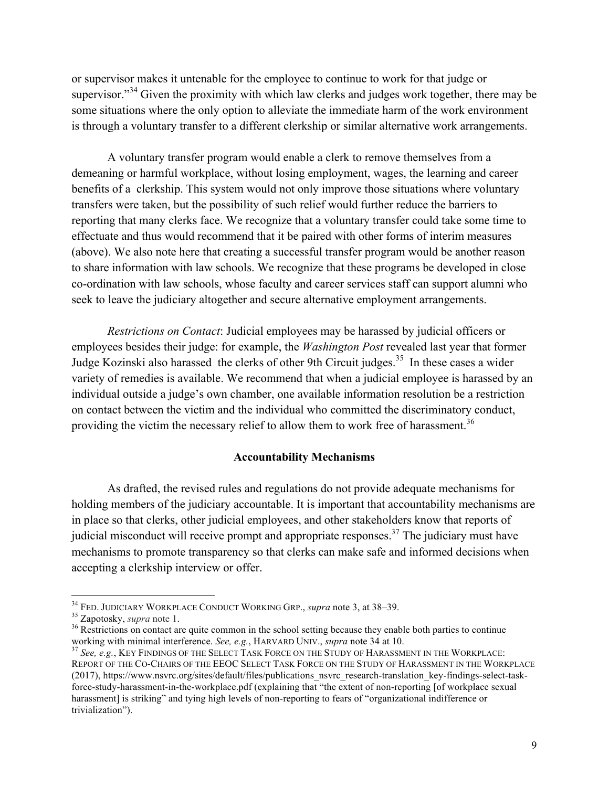or supervisor makes it untenable for the employee to continue to work for that judge or supervisor."<sup>34</sup> Given the proximity with which law clerks and judges work together, there may be some situations where the only option to alleviate the immediate harm of the work environment is through a voluntary transfer to a different clerkship or similar alternative work arrangements.

A voluntary transfer program would enable a clerk to remove themselves from a demeaning or harmful workplace, without losing employment, wages, the learning and career benefits of a clerkship. This system would not only improve those situations where voluntary transfers were taken, but the possibility of such relief would further reduce the barriers to reporting that many clerks face. We recognize that a voluntary transfer could take some time to effectuate and thus would recommend that it be paired with other forms of interim measures (above). We also note here that creating a successful transfer program would be another reason to share information with law schools. We recognize that these programs be developed in close co-ordination with law schools, whose faculty and career services staff can support alumni who seek to leave the judiciary altogether and secure alternative employment arrangements.

*Restrictions on Contact*: Judicial employees may be harassed by judicial officers or employees besides their judge: for example, the *Washington Post* revealed last year that former Judge Kozinski also harassed the clerks of other 9th Circuit judges.<sup>35</sup> In these cases a wider variety of remedies is available. We recommend that when a judicial employee is harassed by an individual outside a judge's own chamber, one available information resolution be a restriction on contact between the victim and the individual who committed the discriminatory conduct, providing the victim the necessary relief to allow them to work free of harassment.<sup>36</sup>

#### **Accountability Mechanisms**

As drafted, the revised rules and regulations do not provide adequate mechanisms for holding members of the judiciary accountable. It is important that accountability mechanisms are in place so that clerks, other judicial employees, and other stakeholders know that reports of judicial misconduct will receive prompt and appropriate responses.<sup>37</sup> The judiciary must have mechanisms to promote transparency so that clerks can make safe and informed decisions when accepting a clerkship interview or offer.

<sup>&</sup>lt;sup>34</sup> FED. JUDICIARY WORKPLACE CONDUCT WORKING GRP., *supra* note 3, at 38–39.<br><sup>35</sup> Zapotosky, *supra* note 1.<br><sup>36</sup> Restrictions on contact are quite common in the school setting because they enable both parties to continu

<sup>&</sup>lt;sup>37</sup> See, e.g., KEY FINDINGS OF THE SELECT TASK FORCE ON THE STUDY OF HARASSMENT IN THE WORKPLACE: REPORT OF THE CO-CHAIRS OF THE EEOC SELECT TASK FORCE ON THE STUDY OF HARASSMENT IN THE WORKPLACE (2017), https://www.nsvrc.org/sites/default/files/publications\_nsvrc\_research-translation\_key-findings-select-taskforce-study-harassment-in-the-workplace.pdf (explaining that "the extent of non-reporting [of workplace sexual harassment] is striking" and tying high levels of non-reporting to fears of "organizational indifference or trivialization").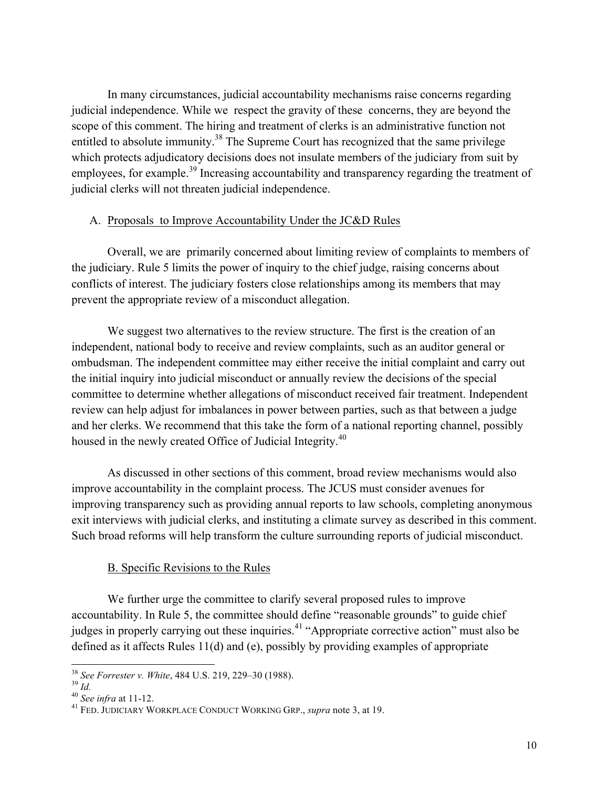In many circumstances, judicial accountability mechanisms raise concerns regarding judicial independence. While we respect the gravity of these concerns, they are beyond the scope of this comment. The hiring and treatment of clerks is an administrative function not entitled to absolute immunity.<sup>38</sup> The Supreme Court has recognized that the same privilege which protects adjudicatory decisions does not insulate members of the judiciary from suit by employees, for example.<sup>39</sup> Increasing accountability and transparency regarding the treatment of judicial clerks will not threaten judicial independence.

### A. Proposals to Improve Accountability Under the JC&D Rules

Overall, we are primarily concerned about limiting review of complaints to members of the judiciary. Rule 5 limits the power of inquiry to the chief judge, raising concerns about conflicts of interest. The judiciary fosters close relationships among its members that may prevent the appropriate review of a misconduct allegation.

We suggest two alternatives to the review structure. The first is the creation of an independent, national body to receive and review complaints, such as an auditor general or ombudsman. The independent committee may either receive the initial complaint and carry out the initial inquiry into judicial misconduct or annually review the decisions of the special committee to determine whether allegations of misconduct received fair treatment. Independent review can help adjust for imbalances in power between parties, such as that between a judge and her clerks. We recommend that this take the form of a national reporting channel, possibly housed in the newly created Office of Judicial Integrity.<sup>40</sup>

As discussed in other sections of this comment, broad review mechanisms would also improve accountability in the complaint process. The JCUS must consider avenues for improving transparency such as providing annual reports to law schools, completing anonymous exit interviews with judicial clerks, and instituting a climate survey as described in this comment. Such broad reforms will help transform the culture surrounding reports of judicial misconduct.

# B. Specific Revisions to the Rules

We further urge the committee to clarify several proposed rules to improve accountability. In Rule 5, the committee should define "reasonable grounds" to guide chief judges in properly carrying out these inquiries.<sup>41</sup> "Appropriate corrective action" must also be defined as it affects Rules 11(d) and (e), possibly by providing examples of appropriate

<sup>&</sup>lt;sup>38</sup> *See Forrester v. White*, 484 U.S. 219, 229–30 (1988).<br><sup>39</sup> *Id.* 40 *See infra* at 11-12.<br><sup>41</sup> FED. JUDICIARY WORKPLACE CONDUCT WORKING GRP., *supra* note 3, at 19.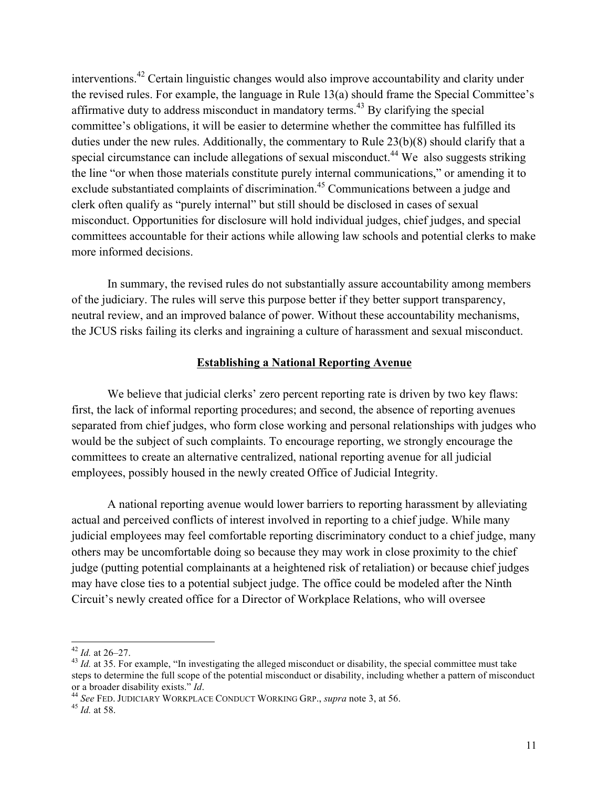interventions.<sup>42</sup> Certain linguistic changes would also improve accountability and clarity under the revised rules. For example, the language in Rule 13(a) should frame the Special Committee's affirmative duty to address misconduct in mandatory terms.<sup>43</sup> By clarifying the special committee's obligations, it will be easier to determine whether the committee has fulfilled its duties under the new rules. Additionally, the commentary to Rule 23(b)(8) should clarify that a special circumstance can include allegations of sexual misconduct.<sup>44</sup> We also suggests striking the line "or when those materials constitute purely internal communications," or amending it to exclude substantiated complaints of discrimination.<sup>45</sup> Communications between a judge and clerk often qualify as "purely internal" but still should be disclosed in cases of sexual misconduct. Opportunities for disclosure will hold individual judges, chief judges, and special committees accountable for their actions while allowing law schools and potential clerks to make more informed decisions.

In summary, the revised rules do not substantially assure accountability among members of the judiciary. The rules will serve this purpose better if they better support transparency, neutral review, and an improved balance of power. Without these accountability mechanisms, the JCUS risks failing its clerks and ingraining a culture of harassment and sexual misconduct.

#### **Establishing a National Reporting Avenue**

We believe that judicial clerks' zero percent reporting rate is driven by two key flaws: first, the lack of informal reporting procedures; and second, the absence of reporting avenues separated from chief judges, who form close working and personal relationships with judges who would be the subject of such complaints. To encourage reporting, we strongly encourage the committees to create an alternative centralized, national reporting avenue for all judicial employees, possibly housed in the newly created Office of Judicial Integrity.

A national reporting avenue would lower barriers to reporting harassment by alleviating actual and perceived conflicts of interest involved in reporting to a chief judge. While many judicial employees may feel comfortable reporting discriminatory conduct to a chief judge, many others may be uncomfortable doing so because they may work in close proximity to the chief judge (putting potential complainants at a heightened risk of retaliation) or because chief judges may have close ties to a potential subject judge. The office could be modeled after the Ninth Circuit's newly created office for a Director of Workplace Relations, who will oversee

<sup>&</sup>lt;sup>42</sup> *Id.* at 26–27.<br><sup>43</sup> *Id.* at 35. For example, "In investigating the alleged misconduct or disability, the special committee must take steps to determine the full scope of the potential misconduct or disability, including whether a pattern of misconduct or a broader disability exists." *Id.* 44 *See* FED. JUDICIARY WORKPLACE CONDUCT WORKING GRP., *supra* note 3, at 56. 45 *Id.* at 58.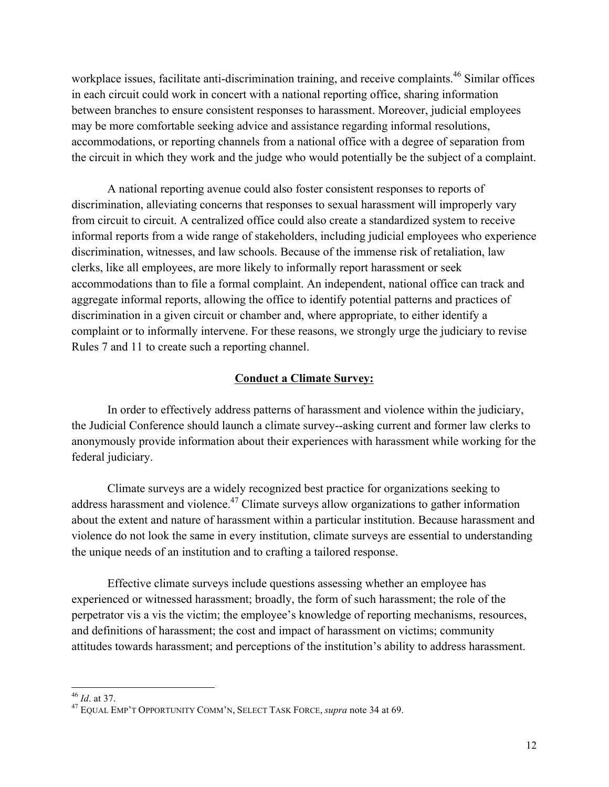workplace issues, facilitate anti-discrimination training, and receive complaints.<sup>46</sup> Similar offices in each circuit could work in concert with a national reporting office, sharing information between branches to ensure consistent responses to harassment. Moreover, judicial employees may be more comfortable seeking advice and assistance regarding informal resolutions, accommodations, or reporting channels from a national office with a degree of separation from the circuit in which they work and the judge who would potentially be the subject of a complaint.

A national reporting avenue could also foster consistent responses to reports of discrimination, alleviating concerns that responses to sexual harassment will improperly vary from circuit to circuit. A centralized office could also create a standardized system to receive informal reports from a wide range of stakeholders, including judicial employees who experience discrimination, witnesses, and law schools. Because of the immense risk of retaliation, law clerks, like all employees, are more likely to informally report harassment or seek accommodations than to file a formal complaint. An independent, national office can track and aggregate informal reports, allowing the office to identify potential patterns and practices of discrimination in a given circuit or chamber and, where appropriate, to either identify a complaint or to informally intervene. For these reasons, we strongly urge the judiciary to revise Rules 7 and 11 to create such a reporting channel.

#### **Conduct a Climate Survey:**

In order to effectively address patterns of harassment and violence within the judiciary, the Judicial Conference should launch a climate survey--asking current and former law clerks to anonymously provide information about their experiences with harassment while working for the federal judiciary.

Climate surveys are a widely recognized best practice for organizations seeking to address harassment and violence.<sup>47</sup> Climate surveys allow organizations to gather information about the extent and nature of harassment within a particular institution. Because harassment and violence do not look the same in every institution, climate surveys are essential to understanding the unique needs of an institution and to crafting a tailored response.

Effective climate surveys include questions assessing whether an employee has experienced or witnessed harassment; broadly, the form of such harassment; the role of the perpetrator vis a vis the victim; the employee's knowledge of reporting mechanisms, resources, and definitions of harassment; the cost and impact of harassment on victims; community attitudes towards harassment; and perceptions of the institution's ability to address harassment.

<sup>46</sup> *Id*. at 37. <sup>47</sup> EQUAL EMP'T OPPORTUNITY COMM'N, SELECT TASK FORCE, *supra* note 34 at 69.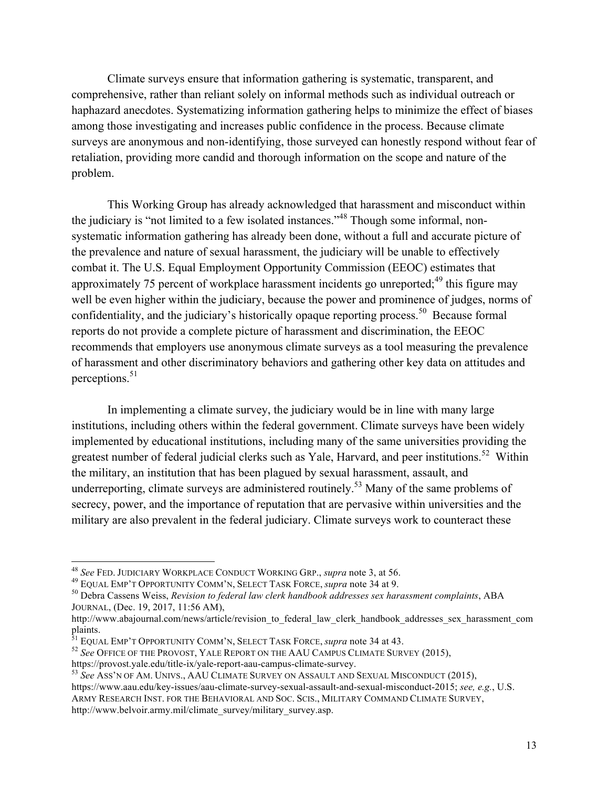Climate surveys ensure that information gathering is systematic, transparent, and comprehensive, rather than reliant solely on informal methods such as individual outreach or haphazard anecdotes. Systematizing information gathering helps to minimize the effect of biases among those investigating and increases public confidence in the process. Because climate surveys are anonymous and non-identifying, those surveyed can honestly respond without fear of retaliation, providing more candid and thorough information on the scope and nature of the problem.

This Working Group has already acknowledged that harassment and misconduct within the judiciary is "not limited to a few isolated instances."<sup>48</sup> Though some informal, nonsystematic information gathering has already been done, without a full and accurate picture of the prevalence and nature of sexual harassment, the judiciary will be unable to effectively combat it. The U.S. Equal Employment Opportunity Commission (EEOC) estimates that approximately 75 percent of workplace harassment incidents go unreported; $49$  this figure may well be even higher within the judiciary, because the power and prominence of judges, norms of confidentiality, and the judiciary's historically opaque reporting process.<sup>50</sup> Because formal reports do not provide a complete picture of harassment and discrimination, the EEOC recommends that employers use anonymous climate surveys as a tool measuring the prevalence of harassment and other discriminatory behaviors and gathering other key data on attitudes and perceptions.<sup>51</sup>

In implementing a climate survey, the judiciary would be in line with many large institutions, including others within the federal government. Climate surveys have been widely implemented by educational institutions, including many of the same universities providing the greatest number of federal judicial clerks such as Yale, Harvard, and peer institutions.<sup>52</sup> Within the military, an institution that has been plagued by sexual harassment, assault, and underreporting, climate surveys are administered routinely.<sup>53</sup> Many of the same problems of secrecy, power, and the importance of reputation that are pervasive within universities and the military are also prevalent in the federal judiciary. Climate surveys work to counteract these

<sup>&</sup>lt;sup>48</sup> See FED. JUDICIARY WORKPLACE CONDUCT WORKING GRP., *supra* note 3, at 56.<br><sup>49</sup> EQUAL EMP'T OPPORTUNITY COMM'N, SELECT TASK FORCE, *supra* note 34 at 9.<br><sup>50</sup> Debra Cassens Weiss, *Revision to federal law clerk handboo* JOURNAL, (Dec. 19, 2017, 11:56 AM),

http://www.abajournal.com/news/article/revision\_to\_federal\_law\_clerk\_handbook\_addresses\_sex\_harassment\_com plaints.<br>
<sup>51</sup> EQUAL EMP'T OPPORTUNITY COMM'N, SELECT TASK FORCE, *supra* note 34 at 43.

<sup>&</sup>lt;sup>52</sup> See OFFICE OF THE PROVOST, YALE REPORT ON THE AAU CAMPUS CLIMATE SURVEY (2015),

https://provost.yale.edu/title-ix/yale-report-aau-campus-climate-survey.<br><sup>53</sup> *See* Ass'N OF AM. UNIVS., AAU CLIMATE SURVEY ON ASSAULT AND SEXUAL MISCONDUCT (2015),

https://www.aau.edu/key-issues/aau-climate-survey-sexual-assault-and-sexual-misconduct-2015; *see, e.g.*, U.S. ARMY RESEARCH INST. FOR THE BEHAVIORAL AND SOC. SCIS., MILITARY COMMAND CLIMATE SURVEY,

http://www.belvoir.army.mil/climate\_survey/military\_survey.asp.